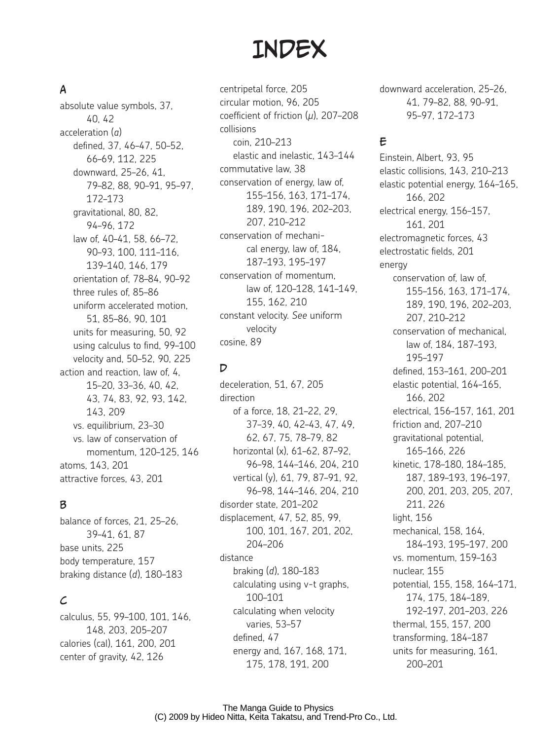# **INDEX**

## A

absolute value symbols, 37, 40, 42 acceleration (*a*) defined, 37, 46–47, 50–52, 66–69, 112, 225 downward, 25–26, 41, 79–82, 88, 90–91, 95–97, 172–173 gravitational, 80, 82, 94–96, 172 law of, 40–41, 58, 66–72, 90–93, 100, 111–116, 139–140, 146, 179 orientation of, 78–84, 90–92 three rules of, 85–86 uniform accelerated motion, 51, 85–86, 90, 101 units for measuring, 50, 92 using calculus to find, 99–100 velocity and, 50–52, 90, 225 action and reaction, law of, 4, 15–20, 33–36, 40, 42, 43, 74, 83, 92, 93, 142, 143, 209 vs. equilibrium, 23–30 vs. law of conservation of momentum, 120–125, 146 atoms, 143, 201 attractive forces, 43, 201

#### B

balance of forces, 21, 25–26, 39–41, 61, 87 base units, 225 body temperature, 157 braking distance (*d*), 180–183

#### $\mathcal{L}_{0}$

calculus, 55, 99–100, 101, 146, 148, 203, 205–207 calories (cal), 161, 200, 201 center of gravity, 42, 126

centripetal force, 205 circular motion, 96, 205 coefficient of friction (*µ*), 207–208 collisions coin, 210–213 elastic and inelastic, 143–144 commutative law, 38 conservation of energy, law of, 155–156, 163, 171–174, 189, 190, 196, 202–203, 207, 210–212 conservation of mechanical energy, law of, 184, 187–193, 195–197 conservation of momentum, law of, 120–128, 141–149, 155, 162, 210 constant velocity. *See* uniform velocity cosine, 89

#### D

deceleration, 51, 67, 205 direction of a force, 18, 21–22, 29, 37–39, 40, 42–43, 47, 49, 62, 67, 75, 78–79, 82 horizontal (x), 61–62, 87–92, 96–98, 144–146, 204, 210 vertical (y), 61, 79, 87–91, 92, 96–98, 144–146, 204, 210 disorder state, 201–202 displacement, 47, 52, 85, 99, 100, 101, 167, 201, 202, 204–206 distance braking (*d*), 180–183 calculating using v-t graphs, 100–101 calculating when velocity varies, 53–57 defined, 47 energy and, 167, 168, 171, 175, 178, 191, 200

downward acceleration, 25–26, 41, 79–82, 88, 90–91, 95–97, 172–173

#### E

Einstein, Albert, 93, 95 elastic collisions, 143, 210–213 elastic potential energy, 164–165, 166, 202 electrical energy, 156–157, 161, 201 electromagnetic forces, 43 electrostatic fields, 201 energy conservation of, law of, 155–156, 163, 171–174, 189, 190, 196, 202–203, 207, 210–212 conservation of mechanical, law of, 184, 187–193, 195–197 defined, 153–161, 200–201 elastic potential, 164–165, 166, 202 electrical, 156–157, 161, 201 friction and, 207–210 gravitational potential, 165–166, 226 kinetic, 178–180, 184–185, 187, 189–193, 196–197, 200, 201, 203, 205, 207, 211, 226 light, 156 mechanical, 158, 164, 184–193, 195–197, 200 vs. momentum, 159–163 nuclear, 155 potential, 155, 158, 164–171, 174, 175, 184–189, 192–197, 201–203, 226 thermal, 155, 157, 200 transforming, 184–187 units for measuring, 161, 200–201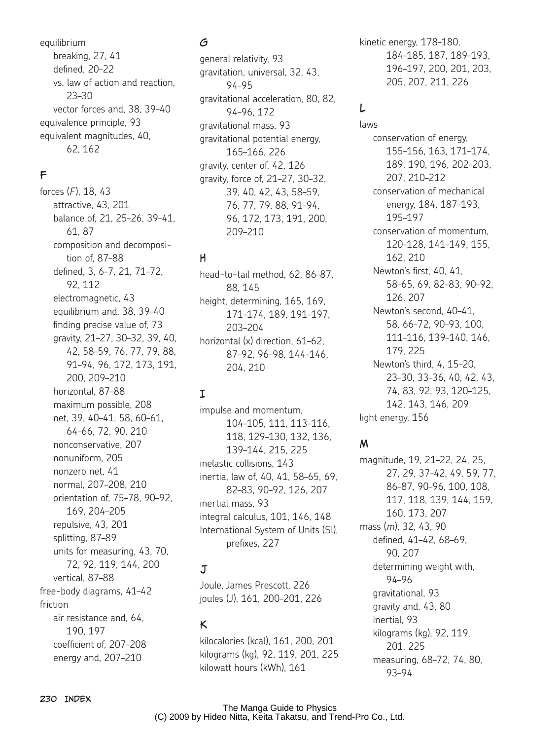equilibrium breaking, 27, 41 defined, 20–22 vs. law of action and reaction, 23–30 vector forces and, 38, 39–40 equivalence principle, 93 equivalent magnitudes, 40, 62, 162

# F

forces (*F*), 18, 43 attractive, 43, 201 balance of, 21, 25–26, 39–41, 61, 87 composition and decomposition of, 87–88 defined, 3, 6–7, 21, 71–72, 92, 112 electromagnetic, 43 equilibrium and, 38, 39–40 finding precise value of, 73 gravity, 21–27, 30–32, 39, 40, 42, 58–59, 76, 77, 79, 88, 91–94, 96, 172, 173, 191, 200, 209–210 horizontal, 87–88 maximum possible, 208 net, 39, 40–41, 58, 60–61, 64–66, 72, 90, 210 nonconservative, 207 nonuniform, 205 nonzero net, 41 normal, 207–208, 210 orientation of, 75–78, 90–92, 169, 204–205 repulsive, 43, 201 splitting, 87–89 units for measuring, 43, 70, 72, 92, 119, 144, 200 vertical, 87–88 free-body diagrams, 41–42 friction air resistance and, 64, 190, 197 coefficient of, 207–208 energy and, 207–210

# G

general relativity, 93 gravitation, universal, 32, 43, 94–95 gravitational acceleration, 80, 82, 94–96, 172 gravitational mass, 93 gravitational potential energy, 165–166, 226 gravity, center of, 42, 126 gravity, force of, 21–27, 30–32, 39, 40, 42, 43, 58–59, 76, 77, 79, 88, 91–94, 96, 172, 173, 191, 200, 209–210

# H

head-to-tail method, 62, 86–87, 88, 145 height, determining, 165, 169, 171–174, 189, 191–197, 203–204 horizontal (x) direction, 61-62. 87–92, 96–98, 144–146, 204, 210

# I

impulse and momentum, 104–105, 111, 113–116, 118, 129–130, 132, 136, 139–144, 215, 225 inelastic collisions, 143 inertia, law of, 40, 41, 58–65, 69, 82–83, 90–92, 126, 207 inertial mass, 93 integral calculus, 101, 146, 148 International System of Units (SI), prefixes, 227

# J

Joule, James Prescott, 226 joules (J), 161, 200–201, 226

#### K

kilocalories (kcal), 161, 200, 201 kilograms (kg), 92, 119, 201, 225 kilowatt hours (kWh), 161

kinetic energy, 178–180, 184–185, 187, 189–193, 196–197, 200, 201, 203, 205, 207, 211, 226

## L

laws conservation of energy, 155–156, 163, 171–174, 189, 190, 196, 202–203, 207, 210–212 conservation of mechanical energy, 184, 187–193, 195–197 conservation of momentum, 120–128, 141–149, 155, 162, 210 Newton's first, 40, 41, 58–65, 69, 82–83, 90–92, 126, 207 Newton's second, 40–41, 58, 66–72, 90–93, 100, 111–116, 139–140, 146, 179, 225 Newton's third, 4, 15–20, 23–30, 33–36, 40, 42, 43, 74, 83, 92, 93, 120–125, 142, 143, 146, 209 light energy, 156

## M

magnitude, 19, 21–22, 24, 25, 27, 29, 37–42, 49, 59, 77, 86–87, 90–96, 100, 108, 117, 118, 139, 144, 159, 160, 173, 207 mass (*m*), 32, 43, 90 defined, 41–42, 68–69, 90, 207 determining weight with, 94–96 gravitational, 93 gravity and, 43, 80 inertial, 93 kilograms (kg), 92, 119, 201, 225 measuring, 68–72, 74, 80, 93–94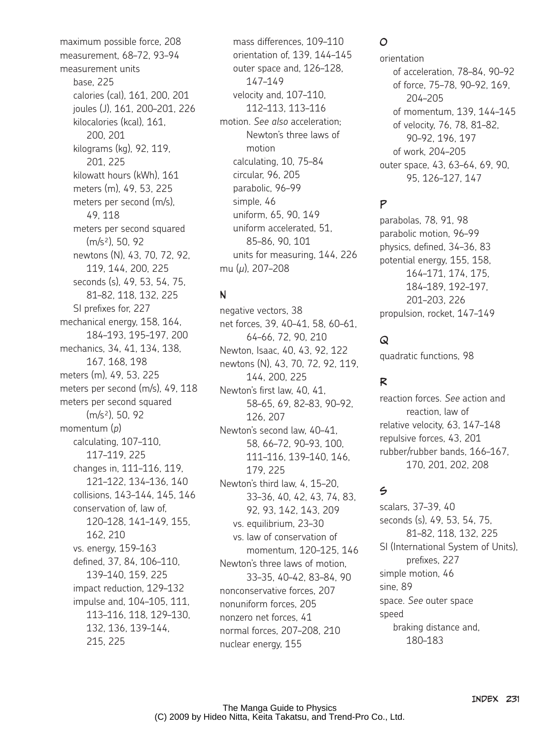maximum possible force, 208 measurement, 68–72, 93–94 measurement units base, 225 calories (cal), 161, 200, 201 joules (J), 161, 200–201, 226 kilocalories (kcal), 161, 200, 201 kilograms (kg), 92, 119, 201, 225 kilowatt hours (kWh), 161 meters (m), 49, 53, 225 meters per second (m/s), 49, 118 meters per second squared (m/s²), 50, 92 newtons (N), 43, 70, 72, 92, 119, 144, 200, 225 seconds (s), 49, 53, 54, 75, 81–82, 118, 132, 225 SI prefixes for, 227 mechanical energy, 158, 164, 184–193, 195–197, 200 mechanics, 34, 41, 134, 138, 167, 168, 198 meters (m), 49, 53, 225 meters per second (m/s), 49, 118 meters per second squared (m/s²), 50, 92 momentum (*p*) calculating, 107–110, 117–119, 225 changes in, 111–116, 119, 121–122, 134–136, 140 collisions, 143–144, 145, 146 conservation of, law of, 120–128, 141–149, 155, 162, 210 vs. energy, 159–163 defined, 37, 84, 106–110, 139–140, 159, 225 impact reduction, 129–132 impulse and, 104–105, 111, 113–116, 118, 129–130, 132, 136, 139–144, 215, 225

mass differences, 109–110 orientation of, 139, 144–145 outer space and, 126–128, 147–149 velocity and, 107–110, 112–113, 113–116 motion. *See also* acceleration; Newton's three laws of motion calculating, 10, 75–84 circular, 96, 205 parabolic, 96–99 simple, 46 uniform, 65, 90, 149 uniform accelerated, 51, 85–86, 90, 101 units for measuring, 144, 226 mu (*µ*), 207–208

#### N

negative vectors, 38 net forces, 39, 40–41, 58, 60–61, 64–66, 72, 90, 210 Newton, Isaac, 40, 43, 92, 122 newtons (N), 43, 70, 72, 92, 119, 144, 200, 225 Newton's first law, 40, 41, 58–65, 69, 82–83, 90–92, 126, 207 Newton's second law, 40–41, 58, 66–72, 90–93, 100, 111–116, 139–140, 146, 179, 225 Newton's third law, 4, 15–20, 33–36, 40, 42, 43, 74, 83, 92, 93, 142, 143, 209 vs. equilibrium, 23–30 vs. law of conservation of momentum, 120–125, 146 Newton's three laws of motion, 33–35, 40–42, 83–84, 90 nonconservative forces, 207 nonuniform forces, 205 nonzero net forces, 41 normal forces, 207–208, 210 nuclear energy, 155

## O

orientation of acceleration, 78–84, 90–92 of force, 75–78, 90–92, 169, 204–205 of momentum, 139, 144–145 of velocity, 76, 78, 81–82, 90–92, 196, 197 of work, 204–205 outer space, 43, 63–64, 69, 90, 95, 126–127, 147

# P

parabolas, 78, 91, 98 parabolic motion, 96–99 physics, defined, 34–36, 83 potential energy, 155, 158, 164–171, 174, 175, 184–189, 192–197, 201–203, 226 propulsion, rocket, 147–149

# Q

quadratic functions, 98

## R

reaction forces. *See* action and reaction, law of relative velocity, 63, 147–148 repulsive forces, 43, 201 rubber/rubber bands, 166–167, 170, 201, 202, 208

#### $\leq$

scalars, 37–39, 40 seconds (s), 49, 53, 54, 75, 81–82, 118, 132, 225 SI (International System of Units), prefixes, 227 simple motion, 46 sine, 89 space. *See* outer space speed braking distance and, 180–183